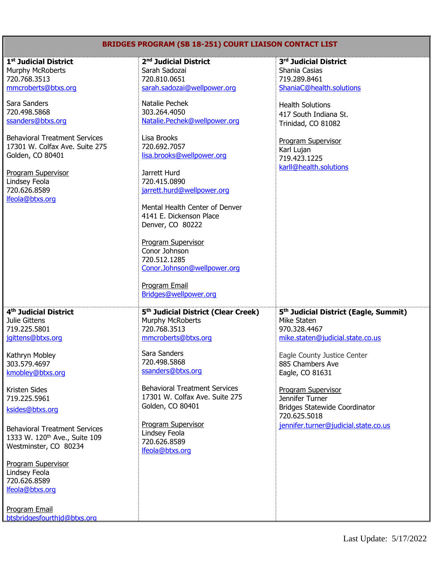## **BRIDGES PROGRAM (SB 18-251) COURT LIAISON CONTACT LIST**

| 1 <sup>st</sup> Judicial District            | 2 <sup>nd</sup> Judicial District               | 3rd Judicial District                             |
|----------------------------------------------|-------------------------------------------------|---------------------------------------------------|
| <b>Murphy McRoberts</b>                      | Sarah Sadozai                                   | Shania Casias                                     |
| 720.768.3513                                 | 720.810.0651                                    | 719.289.8461                                      |
|                                              |                                                 |                                                   |
| mmcroberts@btxs.org                          | sarah.sadozai@wellpower.org                     | ShaniaC@health.solutions                          |
|                                              |                                                 |                                                   |
| Sara Sanders                                 | Natalie Pechek                                  | <b>Health Solutions</b>                           |
| 720.498.5868                                 | 303.264.4050                                    | 417 South Indiana St.                             |
| ssanders@btxs.org                            | Natalie.Pechek@wellpower.org                    | Trinidad, CO 81082                                |
|                                              |                                                 |                                                   |
| <b>Behavioral Treatment Services</b>         | Lisa Brooks                                     |                                                   |
| 17301 W. Colfax Ave. Suite 275               | 720.692.7057                                    | <b>Program Supervisor</b>                         |
| Golden, CO 80401                             | lisa.brooks@wellpower.org                       | Karl Lujan                                        |
|                                              |                                                 | 719.423.1225                                      |
|                                              |                                                 | karll@health.solutions                            |
| <b>Program Supervisor</b>                    | Jarrett Hurd                                    |                                                   |
| Lindsey Feola                                | 720.415.0890                                    |                                                   |
| 720.626.8589                                 | jarrett.hurd@wellpower.org                      |                                                   |
| lfeola@btxs.org                              |                                                 |                                                   |
|                                              | Mental Health Center of Denver                  |                                                   |
|                                              | 4141 E. Dickenson Place                         |                                                   |
|                                              |                                                 |                                                   |
|                                              | Denver, CO 80222                                |                                                   |
|                                              |                                                 |                                                   |
|                                              | <b>Program Supervisor</b>                       |                                                   |
|                                              | Conor Johnson                                   |                                                   |
|                                              | 720.512.1285                                    |                                                   |
|                                              | Conor.Johnson@wellpower.org                     |                                                   |
|                                              |                                                 |                                                   |
|                                              | Program Email                                   |                                                   |
|                                              |                                                 |                                                   |
|                                              |                                                 |                                                   |
|                                              | Bridges@wellpower.org                           |                                                   |
|                                              |                                                 |                                                   |
| 4 <sup>th</sup> Judicial District            | 5 <sup>th</sup> Judicial District (Clear Creek) | 5 <sup>th</sup> Judicial District (Eagle, Summit) |
| Julie Gittens                                | Murphy McRoberts                                | Mike Staten                                       |
| 719.225.5801                                 | 720.768.3513                                    | 970.328.4467                                      |
|                                              |                                                 |                                                   |
| jgittens@btxs.org                            | mmcroberts@btxs.org                             | mike.staten@judicial.state.co.us                  |
|                                              |                                                 |                                                   |
| Kathryn Mobley                               | Sara Sanders                                    | Eagle County Justice Center                       |
| 303.579.4697                                 | 720.498.5868                                    | 885 Chambers Ave                                  |
| kmobley@btxs.org                             | ssanders@btxs.org                               | Eagle, CO 81631                                   |
|                                              |                                                 |                                                   |
| Kristen Sides                                | <b>Behavioral Treatment Services</b>            | Program Supervisor                                |
| 719.225.5961                                 | 17301 W. Colfax Ave. Suite 275                  | Jennifer Turner                                   |
|                                              | Golden, CO 80401                                |                                                   |
| ksides@btxs.org                              |                                                 | <b>Bridges Statewide Coordinator</b>              |
|                                              |                                                 | 720.625.5018                                      |
| <b>Behavioral Treatment Services</b>         | <b>Program Supervisor</b>                       | jennifer.turner@judicial.state.co.us              |
|                                              | Lindsey Feola                                   |                                                   |
| 1333 W. 120 <sup>th</sup> Ave., Suite 109    | 720.626.8589                                    |                                                   |
| Westminster, CO 80234                        | lfeola@btxs.org                                 |                                                   |
|                                              |                                                 |                                                   |
| <b>Program Supervisor</b>                    |                                                 |                                                   |
| Lindsey Feola                                |                                                 |                                                   |
| 720.626.8589                                 |                                                 |                                                   |
| lfeola@btxs.org                              |                                                 |                                                   |
|                                              |                                                 |                                                   |
|                                              |                                                 |                                                   |
| Program Email<br>btsbridgesfourthjd@btxs.org |                                                 |                                                   |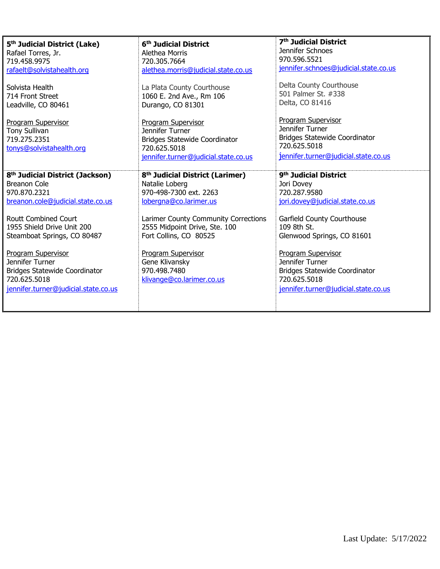| 5 <sup>th</sup> Judicial District (Lake)<br>Rafael Torres, Jr.<br>719.458.9975<br>rafaelt@solvistahealth.org<br>Solvista Health<br>714 Front Street<br>Leadville, CO 80461                            | 6 <sup>th</sup> Judicial District<br>Alethea Morris<br>720.305.7664<br>alethea.morris@judicial.state.co.us<br>La Plata County Courthouse<br>1060 E. 2nd Ave., Rm 106<br>Durango, CO 81301                            | 7 <sup>th</sup> Judicial District<br>Jennifer Schnoes<br>970.596.5521<br>jennifer.schnoes@judicial.state.co.us<br>Delta County Courthouse<br>501 Palmer St. #338<br>Delta, CO 81416 |
|-------------------------------------------------------------------------------------------------------------------------------------------------------------------------------------------------------|----------------------------------------------------------------------------------------------------------------------------------------------------------------------------------------------------------------------|-------------------------------------------------------------------------------------------------------------------------------------------------------------------------------------|
| <b>Program Supervisor</b><br><b>Tony Sullivan</b><br>719.275.2351<br>tonys@solvistahealth.org                                                                                                         | Program Supervisor<br>Jennifer Turner<br><b>Bridges Statewide Coordinator</b><br>720.625.5018<br>jennifer.turner@judicial.state.co.us                                                                                | Program Supervisor<br>Jennifer Turner<br>Bridges Statewide Coordinator<br>720.625.5018<br>jennifer.turner@judicial.state.co.us                                                      |
| 8 <sup>th</sup> Judicial District (Jackson)<br>Breanon Cole<br>970.870.2321<br>breanon.cole@judicial.state.co.us<br>Routt Combined Court<br>1955 Shield Drive Unit 200<br>Steamboat Springs, CO 80487 | 8 <sup>th</sup> Judicial District (Larimer)<br>Natalie Loberg<br>970-498-7300 ext. 2263<br>lobergna@co.larimer.us<br>Larimer County Community Corrections<br>2555 Midpoint Drive, Ste. 100<br>Fort Collins, CO 80525 | 9 <sup>th</sup> Judicial District<br>Jori Dovey<br>720.287.9580<br>jori.dovey@judicial.state.co.us<br>Garfield County Courthouse<br>109 8th St.<br>Glenwood Springs, CO 81601       |
| <b>Program Supervisor</b><br>Jennifer Turner<br><b>Bridges Statewide Coordinator</b><br>720.625.5018<br>jennifer.turner@judicial.state.co.us                                                          | Program Supervisor<br>Gene Klivansky<br>970.498.7480<br>klivange@co.larimer.co.us                                                                                                                                    | Program Supervisor<br>Jennifer Turner<br><b>Bridges Statewide Coordinator</b><br>720.625.5018<br>jennifer.turner@judicial.state.co.us                                               |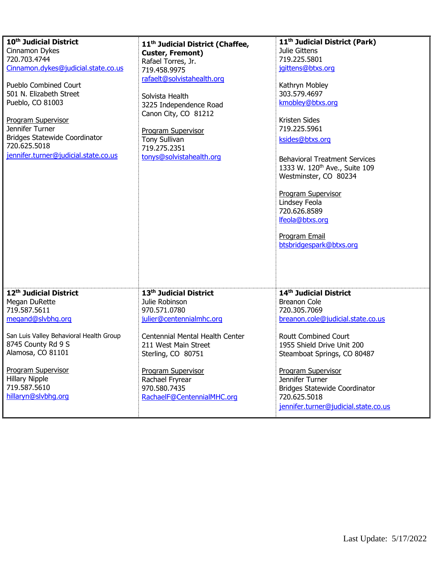| 10 <sup>th</sup> Judicial District      | 11 <sup>th</sup> Judicial District (Chaffee, | 11 <sup>th</sup> Judicial District (Park) |
|-----------------------------------------|----------------------------------------------|-------------------------------------------|
| Cinnamon Dykes                          | <b>Custer, Fremont)</b>                      | Julie Gittens                             |
| 720.703.4744                            | Rafael Torres, Jr.                           | 719.225.5801                              |
| Cinnamon.dykes@judicial.state.co.us     | 719.458.9975                                 | jgittens@btxs.org                         |
|                                         | rafaelt@solvistahealth.org                   |                                           |
| <b>Pueblo Combined Court</b>            |                                              | Kathryn Mobley                            |
| 501 N. Elizabeth Street                 | Solvista Health                              | 303.579.4697                              |
| Pueblo, CO 81003                        | 3225 Independence Road                       | kmobley@btxs.org                          |
|                                         | Canon City, CO 81212                         |                                           |
| <b>Program Supervisor</b>               |                                              | <b>Kristen Sides</b>                      |
| Jennifer Turner                         | Program Supervisor                           | 719.225.5961                              |
| <b>Bridges Statewide Coordinator</b>    | Tony Sullivan                                | ksides@btxs.org                           |
| 720.625.5018                            | 719.275.2351                                 |                                           |
| jennifer.turner@judicial.state.co.us    | tonys@solvistahealth.org                     | <b>Behavioral Treatment Services</b>      |
|                                         |                                              | 1333 W. 120 <sup>th</sup> Ave., Suite 109 |
|                                         |                                              |                                           |
|                                         |                                              | Westminster, CO 80234                     |
|                                         |                                              |                                           |
|                                         |                                              | <b>Program Supervisor</b>                 |
|                                         |                                              | Lindsey Feola                             |
|                                         |                                              | 720.626.8589                              |
|                                         |                                              | lfeola@btxs.org                           |
|                                         |                                              | Program Email                             |
|                                         |                                              | btsbridgespark@btxs.org                   |
|                                         |                                              |                                           |
|                                         |                                              |                                           |
|                                         |                                              |                                           |
|                                         |                                              |                                           |
|                                         |                                              |                                           |
| 12th Judicial District                  | 13th Judicial District                       | 14th Judicial District                    |
| Megan DuRette                           | Julie Robinson                               | <b>Breanon Cole</b>                       |
| 719.587.5611                            | 970.571.0780                                 | 720.305.7069                              |
| megand@slybhg.org                       | julier@centennialmhc.org                     | breanon.cole@judicial.state.co.us         |
|                                         |                                              |                                           |
| San Luis Valley Behavioral Health Group | Centennial Mental Health Center              | <b>Routt Combined Court</b>               |
| 8745 County Rd 9 S                      | 211 West Main Street                         | 1955 Shield Drive Unit 200                |
| Alamosa, CO 81101                       | Sterling, CO 80751                           | Steamboat Springs, CO 80487               |
|                                         |                                              |                                           |
| <b>Program Supervisor</b>               | <b>Program Supervisor</b>                    | <b>Program Supervisor</b>                 |
| <b>Hillary Nipple</b>                   | Rachael Fryrear                              | Jennifer Turner                           |
| 719.587.5610                            | 970.580.7435                                 | <b>Bridges Statewide Coordinator</b>      |
| hillaryn@slvbhq.orq                     | RachaelF@CentennialMHC.org                   | 720.625.5018                              |
|                                         |                                              | jennifer.turner@judicial.state.co.us      |
|                                         |                                              |                                           |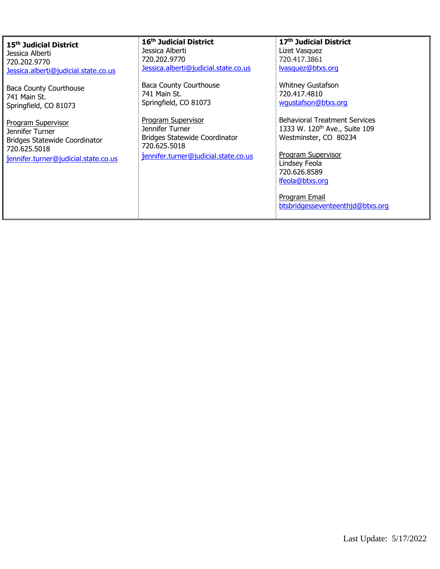| 15 <sup>th</sup> Judicial District                   | 16 <sup>th</sup> Judicial District                   | 17 <sup>th</sup> Judicial District        |
|------------------------------------------------------|------------------------------------------------------|-------------------------------------------|
| Jessica Alberti                                      | Jessica Alberti                                      | Lizet Vasquez                             |
| 720.202.9770                                         | 720.202.9770                                         | 720.417.3861                              |
| Jessica.alberti@judicial.state.co.us                 | Jessica.alberti@judicial.state.co.us                 | lvasquez@btxs.org                         |
| <b>Baca County Courthouse</b>                        | <b>Baca County Courthouse</b>                        | <b>Whitney Gustafson</b>                  |
| 741 Main St.                                         | 741 Main St.                                         | 720.417.4810                              |
| Springfield, CO 81073                                | Springfield, CO 81073                                | wqustafson@btxs.org                       |
| <b>Program Supervisor</b>                            | <b>Program Supervisor</b>                            | <b>Behavioral Treatment Services</b>      |
| Jennifer Turner                                      | Jennifer Turner                                      | 1333 W. 120 <sup>th</sup> Ave., Suite 109 |
| <b>Bridges Statewide Coordinator</b><br>720.625.5018 | <b>Bridges Statewide Coordinator</b><br>720.625.5018 | Westminster, CO 80234                     |
|                                                      | jennifer.turner@judicial.state.co.us                 | <b>Program Supervisor</b>                 |
| jennifer.turner@judicial.state.co.us                 |                                                      | Lindsey Feola                             |
|                                                      |                                                      | 720.626.8589                              |
|                                                      |                                                      | lfeola@btxs.org                           |
|                                                      |                                                      | Program Email                             |
|                                                      |                                                      | btsbridgesseventeenthjd@btxs.org          |
|                                                      |                                                      |                                           |